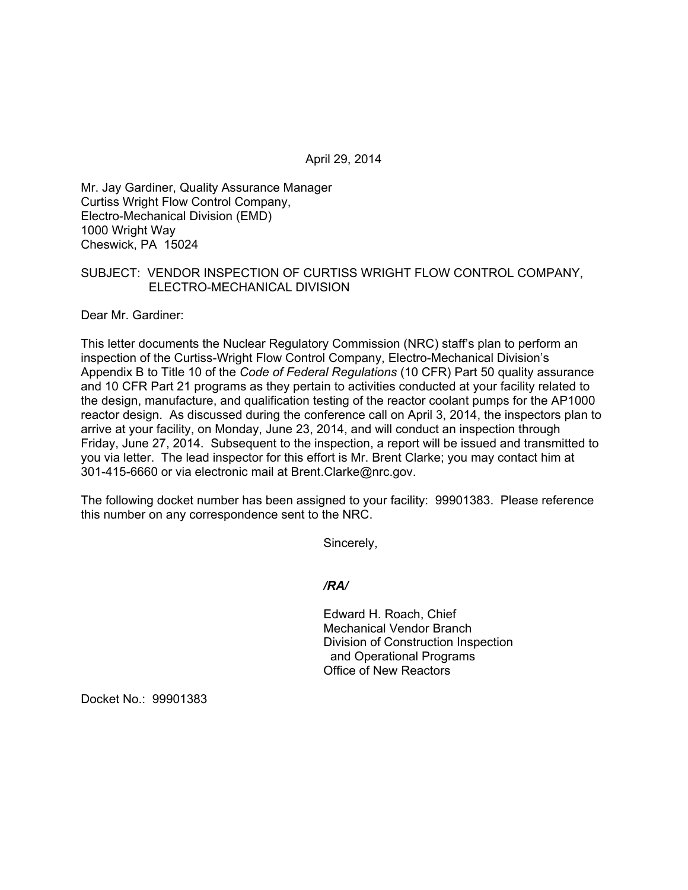April 29, 2014

Mr. Jay Gardiner, Quality Assurance Manager Curtiss Wright Flow Control Company, Electro-Mechanical Division (EMD) 1000 Wright Way Cheswick, PA 15024

# SUBJECT: VENDOR INSPECTION OF CURTISS WRIGHT FLOW CONTROL COMPANY, ELECTRO-MECHANICAL DIVISION

Dear Mr. Gardiner:

This letter documents the Nuclear Regulatory Commission (NRC) staff's plan to perform an inspection of the Curtiss-Wright Flow Control Company, Electro-Mechanical Division's Appendix B to Title 10 of the *Code of Federal Regulations* (10 CFR) Part 50 quality assurance and 10 CFR Part 21 programs as they pertain to activities conducted at your facility related to the design, manufacture, and qualification testing of the reactor coolant pumps for the AP1000 reactor design. As discussed during the conference call on April 3, 2014, the inspectors plan to arrive at your facility, on Monday, June 23, 2014, and will conduct an inspection through Friday, June 27, 2014. Subsequent to the inspection, a report will be issued and transmitted to you via letter. The lead inspector for this effort is Mr. Brent Clarke; you may contact him at 301-415-6660 or via electronic mail at Brent.Clarke@nrc.gov.

The following docket number has been assigned to your facility: 99901383. Please reference this number on any correspondence sent to the NRC.

Sincerely,

#### */RA/*

 Edward H. Roach, Chief Mechanical Vendor Branch Division of Construction Inspection and Operational Programs Office of New Reactors

Docket No.: 99901383